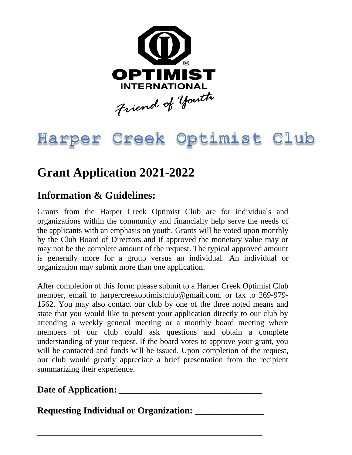

## Harper Creek Optimist Club

## **Grant Application 2021-2022**

## **Information & Guidelines:**

Grants from the Harper Creek Optimist Club are for individuals and organizations within the community and financially help serve the needs of the applicants with an emphasis on youth. Grants will be voted upon monthly by the Club Board of Directors and if approved the monetary value may or may not be the complete amount of the request. The typical approved amount is generally more for a group versus an individual. An individual or organization may submit more than one application.

After completion of this form: please submit to a Harper Creek Optimist Club member, email to harpercreekoptimistclub@gmail.com. or fax to 269-979- 1562. You may also contact our club by one of the three noted means and state that you would like to present your application directly to our club by attending a weekly general meeting or a monthly board meeting where members of our club could ask questions and obtain a complete understanding of your request. If the board votes to approve your grant, you will be contacted and funds will be issued. Upon completion of the request, our club would greatly appreciate a brief presentation from the recipient summarizing their experience.

**Date of Application:** \_\_\_\_\_\_\_\_\_\_\_\_\_\_\_\_\_\_\_\_\_\_\_\_\_\_\_\_\_\_\_

**Requesting Individual or Organization:** \_\_\_\_\_\_\_\_\_\_\_\_\_\_\_

\_\_\_\_\_\_\_\_\_\_\_\_\_\_\_\_\_\_\_\_\_\_\_\_\_\_\_\_\_\_\_\_\_\_\_\_\_\_\_\_\_\_\_\_\_\_\_\_\_